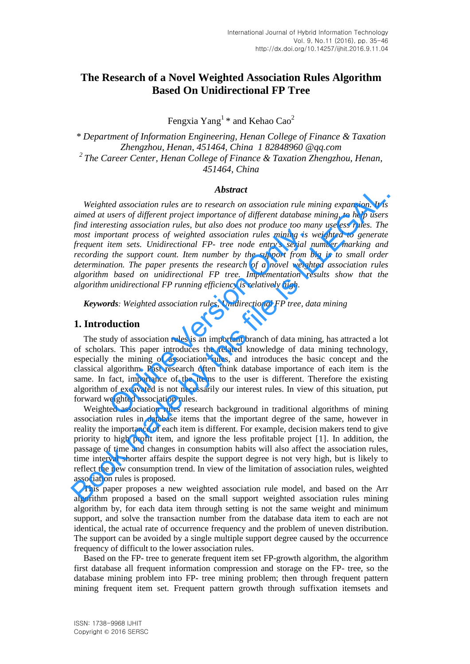# **The Research of a Novel Weighted Association Rules Algorithm Based On Unidirectional FP Tree**

Fengxia Yang<sup>1</sup> \* and Kehao Cao<sup>2</sup>

*\* Department of Information Engineering, Henan College of Finance & Taxation Zhengzhou, Henan, 451464, China 1 82848960 @qq.com <sup>2</sup>The Career Center, Henan College of Finance & Taxation Zhengzhou, Henan, 451464, China* 

#### *Abstract*

*Weighted association rules are to research on association rule mining expansion. It is aimed at users of different project importance of different database mining, to help users find interesting association rules, but also does not produce too many useless rules. The most important process of weighted association rules mining is weighted to generate frequent item sets. Unidirectional FP- tree node entry's serial number marking and recording the support count. Item number by the support from big is to small order determination. The paper presents the research of a novel weighted association rules algorithm based on unidirectional FP tree. Implementation results show that the algorithm unidirectional FP running efficiency is relatively high.*  **Abstract**<br>**Abstract**<br>**Abstract**<br>**Abstract**<br>**Abstract**<br>**Abstract**<br>**Abstract**<br>**Book made that we are the symplect importance of different ataubase mining, to help users<br>find interesting association rules, but also does not** 

*Keywords: Weighted association rules, Unidirectional FP tree, data mining* 

## **1. Introduction**

The study of association rules is an important branch of data mining, has attracted a lot of scholars. This paper introduces the related knowledge of data mining technology, especially the mining of association rules, and introduces the basic concept and the classical algorithm. Past research often think database importance of each item is the same. In fact, importance of the items to the user is different. Therefore the existing algorithm of excavated is not necessarily our interest rules. In view of this situation, put forward weighted association rules. ortant process of weighted association rules mining is is<br>tiem sets. Unidirectional FP- tree node entry's serial r<br>the support count. Item number by the support from b<br>tion. The paper presents the research of a novel weigh

Weighted association rules research background in traditional algorithms of mining association rules in database items that the important degree of the same, however in reality the importance of each item is different. For example, decision makers tend to give priority to high profit item, and ignore the less profitable project [1]. In addition, the passage of time and changes in consumption habits will also affect the association rules, time interval shorter affairs despite the support degree is not very high, but is likely to reflect the new consumption trend. In view of the limitation of association rules, weighted association rules is proposed.

This paper proposes a new weighted association rule model, and based on the Arr algorithm proposed a based on the small support weighted association rules mining algorithm by, for each data item through setting is not the same weight and minimum support, and solve the transaction number from the database data item to each are not identical, the actual rate of occurrence frequency and the problem of uneven distribution. The support can be avoided by a single multiple support degree caused by the occurrence frequency of difficult to the lower association rules.

Based on the FP- tree to generate frequent item set FP-growth algorithm, the algorithm first database all frequent information compression and storage on the FP- tree, so the database mining problem into FP- tree mining problem; then through frequent pattern mining frequent item set. Frequent pattern growth through suffixation itemsets and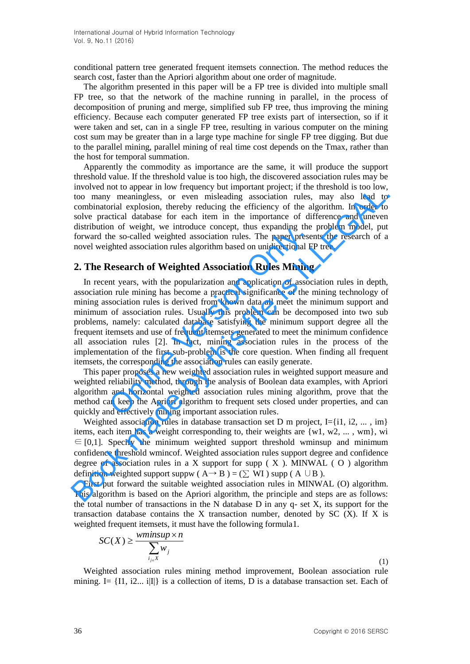conditional pattern tree generated frequent itemsets connection. The method reduces the search cost, faster than the Apriori algorithm about one order of magnitude.

The algorithm presented in this paper will be a FP tree is divided into multiple small FP tree, so that the network of the machine running in parallel, in the process of decomposition of pruning and merge, simplified sub FP tree, thus improving the mining efficiency. Because each computer generated FP tree exists part of intersection, so if it were taken and set, can in a single FP tree, resulting in various computer on the mining cost sum may be greater than in a large type machine for single FP tree digging. But due to the parallel mining, parallel mining of real time cost depends on the Tmax, rather than the host for temporal summation.

Apparently the commodity as importance are the same, it will produce the support threshold value. If the threshold value is too high, the discovered association rules may be involved not to appear in low frequency but important project; if the threshold is too low, too many meaningless, or even misleading association rules, may also lead to combinatorial explosion, thereby reducing the efficiency of the algorithm. In order to solve practical database for each item in the importance of difference and uneven distribution of weight, we introduce concept, thus expanding the problem model, put forward the so-called weighted association rules. The paper presents the research of a novel weighted association rules algorithm based on unidirectional FP tree.

### **2. The Research of Weighted Association Rules Mining**

In recent years, with the popularization and application of association rules in depth, association rule mining has become a practical significance of the mining technology of mining association rules is derived from known data all meet the minimum support and minimum of association rules. Usually this problem can be decomposed into two sub problems, namely: calculated database satisfying the minimum support degree all the frequent itemsets and use of frequent itemsets generated to meet the minimum confidence all association rules [2]. In fact, mining association rules in the process of the implementation of the first sub-problem is the core question. When finding all frequent itemsets, the corresponding the association rules can easily generate. In the so-called weighted association rules. The paper prese ghted association rules algorithm based on unidirectional F<br>**Research of Weighted Association Rules Mining** int years, with the popularization and application of moved not on appear in conventigntly to important project; the unissident and contomy meaningless, or even misleading association rules, may also lead to too now, because the environmental explosion, there is solved pract

This paper proposes a new weighted association rules in weighted support measure and weighted reliability method, through the analysis of Boolean data examples, with Apriori algorithm and horizontal weighted association rules mining algorithm, prove that the method can keep the Apriori algorithm to frequent sets closed under properties, and can quickly and effectively mining important association rules.

Weighted association rules in database transaction set D m project, I={i1, i2, ..., im} items, each item has a weight corresponding to, their weights are  $\{w1, w2, \ldots, wm\}$ , wi  $\epsilon \in [0,1]$ . Specify the minimum weighted support threshold wminsup and minimum confidence threshold wmincof. Weighted association rules support degree and confidence degree of association rules in a X support for supp  $(X)$ . MINWAL  $(O)$  algorithm definition weighted support suppw ( $A \rightarrow B$ ) = ( $\Sigma$  WI) supp ( $A \cup B$ ).

First put forward the suitable weighted association rules in MINWAL (O) algorithm. This algorithm is based on the Apriori algorithm, the principle and steps are as follows: the total number of transactions in the N database  $D$  in any  $q$ - set X, its support for the transaction database contains the X transaction number, denoted by  $SC(X)$ . If X is weighted frequent itemsets, it must have the following formula1.

$$
SC(X) \ge \frac{wminsup \times n}{\sum_{i_{j \in X}} w_j}
$$

(1)

Weighted association rules mining method improvement, Boolean association rule mining. I=  $\{I1, i2, \ldots i|I|\}$  is a collection of items, D is a database transaction set. Each of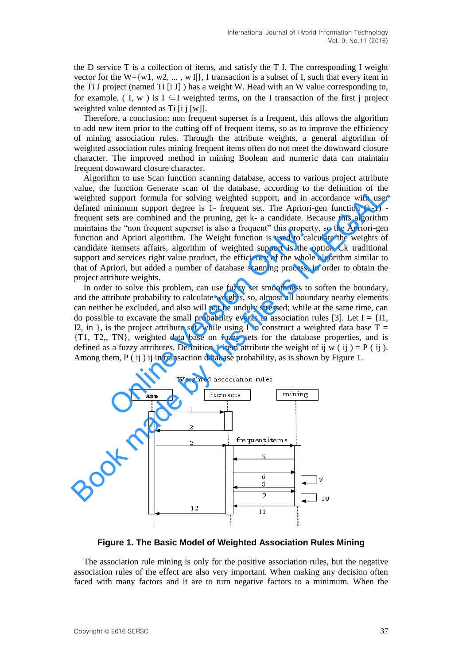the D service T is a collection of items, and satisfy the T I. The corresponding I weight vector for the W={w1, w2, ..., w|I|}. I transaction is a subset of I, such that every item in the Ti J project (named Ti [i J] ) has a weight W. Head with an W value corresponding to, for example, (I, w) is I  $\subseteq$ I weighted terms, on the I transaction of the first j project weighted value denoted as Ti [i j [w]].

Therefore, a conclusion: non frequent superset is a frequent, this allows the algorithm to add new item prior to the cutting off of frequent items, so as to improve the efficiency of mining association rules. Through the attribute weights, a general algorithm of weighted association rules mining frequent items often do not meet the downward closure character. The improved method in mining Boolean and numeric data can maintain frequent downward closure character.

Algorithm to use Scan function scanning database, access to various project attribute value, the function Generate scan of the database, according to the definition of the weighted support formula for solving weighted support, and in accordance with user defined minimum support degree is 1- frequent set. The Apriori-gen function (k-1) frequent sets are combined and the pruning, get k- a candidate. Because this algorithm maintains the "non frequent superset is also a frequent" this property, so the Apriori-gen function and Apriori algorithm. The Weight function is used to calculate the weights of candidate itemsets affairs, algorithm of weighted support is the option Ck traditional support and services right value product, the efficiency of the whole algorithm similar to that of Apriori, but added a number of database scanning process, in order to obtain the project attribute weights. value, the Intento Userate scan of the database, according to the entrinuo of the production series the moreover of the moreover of the property, and in accordance with user defined minimum support degree is 1- frequent se

In order to solve this problem, can use fuzzy set smoothness to soften the boundary, and the attribute probability to calculate weights, so, almost all boundary nearby elements can neither be excluded, and also will not be unduly stressed; while at the same time, can do possible to excavate the small probability events in association rules [3]. Let  $I = \{I1, \ldots \}$ I2, in }, is the project attribute set, while using I to construct a weighted data base  $T =$ {T1, T2,, TN}, weighted data base on fuzzy sets for the database properties, and is defined as a fuzzy attributes. Definition 1 item attribute the weight of ij w ( ij ) =  $P$  ( ij ). Among them, P ( ij ) ij in transaction database probability, as is shown by Figure 1. the mon inequent superset is also a frequent this properties<br>and Apriori algorithm. The Weight function is used to cal<br>itemsets affairs, algorithm of weighted support is the or<br>alitemsets right value product, the efficienc



**Figure 1. The Basic Model of Weighted Association Rules Mining**

The association rule mining is only for the positive association rules, but the negative association rules of the effect are also very important. When making any decision often faced with many factors and it are to turn negative factors to a minimum. When the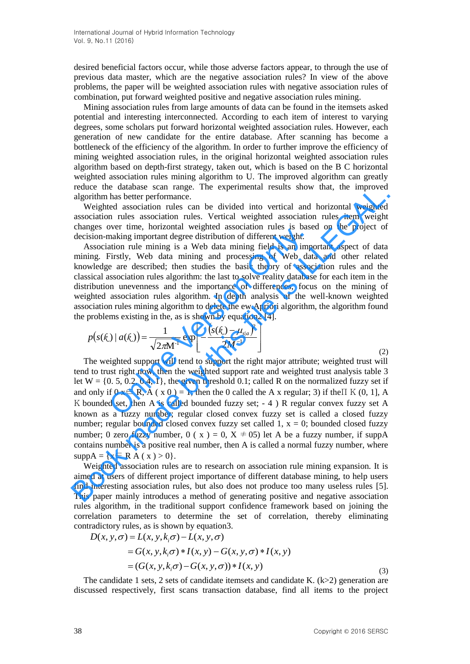desired beneficial factors occur, while those adverse factors appear, to through the use of previous data master, which are the negative association rules? In view of the above problems, the paper will be weighted association rules with negative association rules of combination, put forward weighted positive and negative association rules mining.

Mining association rules from large amounts of data can be found in the itemsets asked potential and interesting interconnected. According to each item of interest to varying degrees, some scholars put forward horizontal weighted association rules. However, each generation of new candidate for the entire database. After scanning has become a bottleneck of the efficiency of the algorithm. In order to further improve the efficiency of mining weighted association rules, in the original horizontal weighted association rules algorithm based on depth-first strategy, taken out, which is based on the B C horizontal weighted association rules mining algorithm to U. The improved algorithm can greatly reduce the database scan range. The experimental results show that, the improved algorithm has better performance.

Weighted association rules can be divided into vertical and horizontal weighted association rules association rules. Vertical weighted association rules item weight changes over time, horizontal weighted association rules is based on the project of decision-making important degree distribution of different weight.

Association rule mining is a Web data mining field is an important aspect of data mining. Firstly, Web data mining and processing of Web data and other related knowledge are described; then studies the basic theory of association rules and the classical association rules algorithm: the last to solve reality database for each item in the distribution unevenness and the importance of differences, focus on the mining of weighted association rules algorithm. In depth analysis of the well-known weighted association rules mining algorithm to delete the ew.Apriori algorithm, the algorithm found the problems existing in the, as is shown by equation2 [4]. ited association rules algorithm. In depth analysis of t<br>iation rules mining algorithm to delete the ew.Apriori algor<br>coblems existing in the, as is shown by equation2 [4].<br> $(s(\kappa) | a(\kappa)) = \frac{1}{\sqrt{2 \pi M^{-1}}} \exp \left[ -\frac{(s(\kappa) - \mu_{s|$ bracking important degree distribution of different weight<br>making important degree distribution of different weight.<br>atation rule mining is a Web data mining field is an imp-<br>Firstly, Web data mining and processing of Web

$$
p(s(\mathcal{R}) \mid a(\mathcal{R})) = \frac{1}{\sqrt{2\pi}M^{-1}} \exp\left[-\frac{(s(\mathcal{R}) - \mu_{s|a})^2}{2M^{-1}}\right]
$$
(2)

The weighted support will tend to support the right major attribute; weighted trust will tend to trust right now, then the weighted support rate and weighted trust analysis table 3 let  $W = \{0, 5, 0.2, 0.4, 1\}$ , the given threshold 0.1; called R on the normalized fuzzy set if and only if  $0 \times \in R$ , A ( $x \times 0$ ) = 1; then the 0 called the A x regular; 3) if the II K (0, 1], A K bounded set, then A is called bounded fuzzy set;  $-4$ ) R regular convex fuzzy set A known as a fuzzy number; regular closed convex fuzzy set is called a closed fuzzy number; regular bounded closed convex fuzzy set called 1,  $x = 0$ ; bounded closed fuzzy number; 0 zero fuzzy number, 0 ( $x$ ) = 0, X  $\neq$  05) let A be a fuzzy number, if suppA contains number is a positive real number, then A is called a normal fuzzy number, where  $suppA = \{x \in R A(x) > 0\}.$ From the induces was said range. The experimental results show unat, the imploved<br>algorithm has better performance.<br>Weighted association rules in a dividibation correlation and horizontal weighted<br>association rules associ

Weighted association rules are to research on association rule mining expansion. It is aimed at users of different project importance of different database mining, to help users find interesting association rules, but also does not produce too many useless rules [5]. This paper mainly introduces a method of generating positive and negative association rules algorithm, in the traditional support confidence framework based on joining the correlation parameters to determine the set of correlation, thereby eliminating contradictory rules, as is shown by equation3.<br> $D(x, y, \sigma) = L(x, y, k_i \sigma) - L(x, y, \sigma)$ contradictory rules, as is shown by equation3. elation parameters to determine thradictory rules, as is shown by equation<br> $D(x, y, \sigma) = L(x, y, k_i \sigma) - L(x, y, \sigma)$ 

$$
D(x, y, \sigma) = L(x, y, k_i \sigma) - L(x, y, \sigma)
$$
  
=  $G(x, y, k_i \sigma) * I(x, y) - G(x, y, \sigma) * I(x, y)$   
=  $(G(x, y, k_i \sigma) - G(x, y, \sigma)) * I(x, y)$  (3)

The candidate 1 sets, 2 sets of candidate itemsets and candidate K.  $(k>2)$  generation are discussed respectively, first scans transaction database, find all items to the project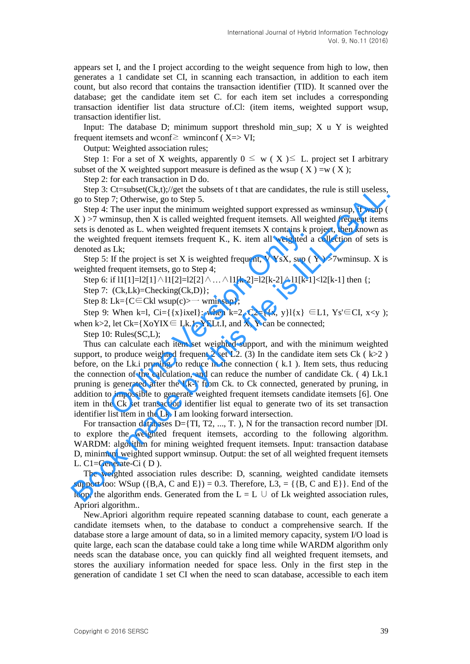appears set I, and the I project according to the weight sequence from high to low, then generates a 1 candidate set CI, in scanning each transaction, in addition to each item count, but also record that contains the transaction identifier (TID). It scanned over the database; get the candidate item set C. for each item set includes a corresponding transaction identifier list data structure of.Cl: (item items, weighted support wsup, transaction identifier list.

Input: The database D; minimum support threshold min\_sup; X u Y is weighted frequent itemsets and wconf $\ge$  wminconf (X=> VI;

Output: Weighted association rules;

Step 1: For a set of X weights, apparently  $0 \leq w(X) \leq L$ . project set I arbitrary subset of the X weighted support measure is defined as the wsup ( $X$ ) =w ( $X$ );

Step 2: for each transaction in D do.

Step 3:  $C$ t=subset $(Ck,t)/\gamma$  get the subsets of t that are candidates, the rule is still useless, go to Step 7; Otherwise, go to Step 5.

Step 4: The user input the minimum weighted support expressed as wminsup, if wsup (  $X$ )  $>7$  wminsup, then X is called weighted frequent itemsets. All weighted frequent items sets is denoted as L. when weighted frequent itemsets X contains k project, then known as the weighted frequent itemsets frequent K., K. item all weighted a collection of sets is denoted as Lk;

Step 5: If the project is set X is weighted frequent, V YsX, sup ( $Y$ ) >7wminsup. X is weighted frequent itemsets, go to Step 4;

Step 6: if  $11[1] = 12[1] \land 11[2] = 12[2] \land ... \land 11[k-2] = 12[k-2] \land 11[k-1] < 12[k-1]$  then {;

Step 7:  $(Ck,Lk)$ =Checking $(Ck,D)$ };

Step 8: Lk={ $C \in Ck1$  wsup(c)>— wminsup};

Step 9: When k=l, Ci={{x}ixeI}: when k=2, C2={{x, y}l{x}  $\in$  L1, Ys' $\in$  CI, x<y ); when k>2, let  $Ck = {XoYIX \in Lk.1, YELL.1, and X, Y can be connected;}$ 

Step 10: Rules(SC,L);

Thus can calculate each item set weighted support, and with the minimum weighted support, to produce weighted frequent 2 set L2. (3) In the candidate item sets Ck ( $k>2$ ) before, on the Lk.i pruning, to reduce in the connection ( k.1 ). Item sets, thus reducing the connection of the calculation, and can reduce the number of candidate Ck. ( 4) Lk.1 pruning is generated after the Lk-l' from Ck. to Ck connected, generated by pruning, in addition to impossible to generate weighted frequent itemsets candidate itemsets [6]. One item in the Ck set transaction identifier list equal to generate two of its set transaction identifier list item in the Lk. I am looking forward intersection. noted as L. when weighted frequent itemsets X contains k p<br>ted frequent itemsets frequent K., K. item all weighted as Lk;<br>If the project is set X is weighted frequent, V YsX, sup (<br>frequent itemsets, go to Step 4;<br>if 11[1 Step 3: Cl=sabectCR, l)/get the subsets of that are candidates, the rule is still useless,<br>go to Step 7: Cuberwise, go to Step 5.<br>Step 4: Clear by the system (X)  $>7$  wmissup, the sup of Step 4: The user input the minimum

For transaction databases D={TI, T2, ..., T. ), N for the transaction record number |DI. to explore the weighted frequent itemsets, according to the following algorithm. WARDM: algorithm for mining weighted frequent itemsets. Input: transaction database D, minimum weighted support wminsup. Output: the set of all weighted frequent itemsets L. C1=Generate-Ci ( D ).

The weighted association rules describe: D, scanning, weighted candidate itemsets support too: WSup  $({B,A, C \text{ and } E}) = 0.3$ . Therefore,  $L3 = ({B, C \text{ and } E})$ . End of the loop, the algorithm ends. Generated from the  $L = L \cup$  of Lk weighted association rules, Apriori algorithm..

New.Apriori algorithm require repeated scanning database to count, each generate a candidate itemsets when, to the database to conduct a comprehensive search. If the database store a large amount of data, so in a limited memory capacity, system I/O load is quite large, each scan the database could take a long time while WARDM algorithm only needs scan the database once, you can quickly find all weighted frequent itemsets, and stores the auxiliary information needed for space less. Only in the first step in the generation of candidate 1 set CI when the need to scan database, accessible to each item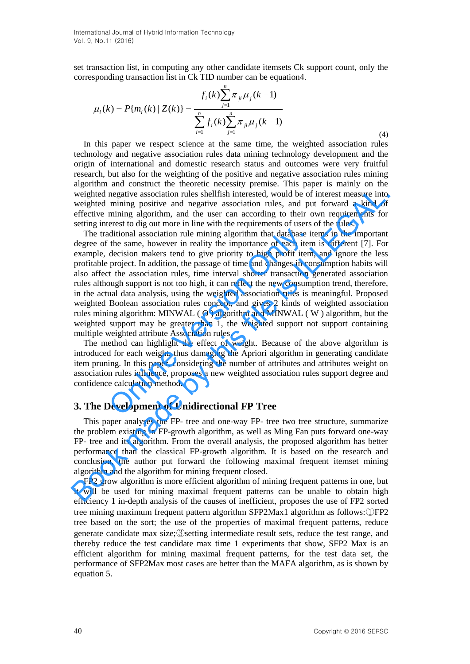set transaction list, in computing any other candidate itemsets Ck support count, only the corresponding transaction list in Ck TID number can be equation4.

$$
\mu_i(k) = P\{m_i(k) \mid Z(k)\} = \frac{f_i(k)\sum_{j=1}^n \pi_{ji}\mu_j(k-1)}{\sum_{i=1}^n f_i(k)\sum_{j=1}^n \pi_{ji}\mu_j(k-1)}
$$
\n(4)

In this paper we respect science at the same time, the weighted association rules technology and negative association rules data mining technology development and the origin of international and domestic research status and outcomes were very fruitful research, but also for the weighting of the positive and negative association rules mining algorithm and construct the theoretic necessity premise. This paper is mainly on the weighted negative association rules shellfish interested, would be of interest measure into weighted mining positive and negative association rules, and put forward a kind of effective mining algorithm, and the user can according to their own requirements for setting interest to dig out more in line with the requirements of users of the rules.

The traditional association rule mining algorithm that database items in the important degree of the same, however in reality the importance of each item is different [7]. For example, decision makers tend to give priority to high profit item, and ignore the less profitable project. In addition, the passage of time and changes in consumption habits will also affect the association rules, time interval shorter transaction generated association rules although support is not too high, it can reflect the new consumption trend, therefore, in the actual data analysis, using the weighted association rules is meaningful. Proposed weighted Boolean association rules concept, and gives 2 kinds of weighted association rules mining algorithm: MINWAL ( O ) algorithm and MINWAL ( W ) algorithm, but the weighted support may be greater than 1, the weighted support not support containing multiple weighted attribute Association rules. ditional association rule mining algorithm that database it<br>the same, however in reality the importance of each iten<br>decision makers tend to give priority to high profit item<br>project. In addition, the passage of time and c weighted negative association rules shell<br>fish increasted, would be of interest measure into weighed mining positive and negative association rules, and put forward a kind of setting interest to effective mining algorithm

The method can highlight the effect of weight. Because of the above algorithm is introduced for each weight, thus damaging the Apriori algorithm in generating candidate item pruning. In this paper, considering the number of attributes and attributes weight on association rules influence, proposes a new weighted association rules support degree and confidence calculation method.

### **3. The Development of Unidirectional FP Tree**

This paper analyses the FP- tree and one-way FP- tree two tree structure, summarize the problem existing in FP-growth algorithm, as well as Ming Fan puts forward one-way FP- tree and its algorithm. From the overall analysis, the proposed algorithm has better performance than the classical FP-growth algorithm. It is based on the research and conclusion, the author put forward the following maximal frequent itemset mining algorithm and the algorithm for mining frequent closed.

FP2 grow algorithm is more efficient algorithm of mining frequent patterns in one, but it will be used for mining maximal frequent patterns can be unable to obtain high efficiency 1 in-depth analysis of the causes of inefficient, proposes the use of FP2 sorted tree mining maximum frequent pattern algorithm SFP2Max1 algorithm as follows:①FP2 tree based on the sort; the use of the properties of maximal frequent patterns, reduce generate candidate max size;③setting intermediate result sets, reduce the test range, and thereby reduce the test candidate max time 1 experiments that show, SFP2 Max is an efficient algorithm for mining maximal frequent patterns, for the test data set, the performance of SFP2Max most cases are better than the MAFA algorithm, as is shown by equation 5.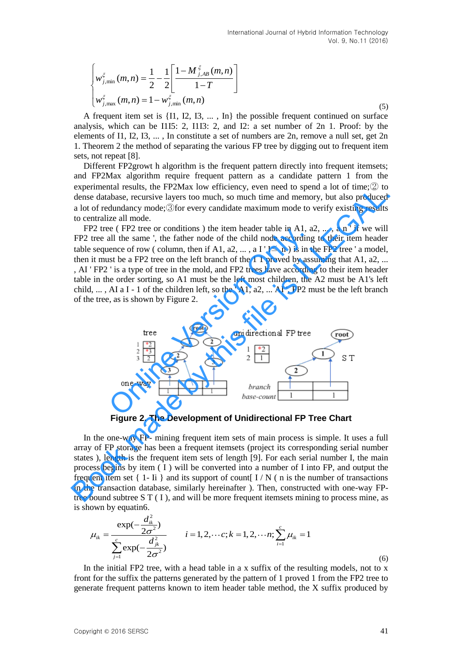(5)

$$
\begin{cases} w_{j,\min}^{\xi}(m,n) = \frac{1}{2} - \frac{1}{2} \left[ \frac{1 - M_{j,AB}^{\xi}(m,n)}{1 - T} \right] \\ w_{j,\max}^{\xi}(m,n) = 1 - w_{j,\min}^{\xi}(m,n) \end{cases}
$$

A frequent item set is {I1, I2, I3, ... , In} the possible frequent continued on surface analysis, which can be I1I5: 2, I1I3: 2, and I2: a set number of 2n 1. Proof: by the elements of I1, I2, I3, ... , In constitute a set of numbers are 2n, remove a null set, get 2n 1. Theorem 2 the method of separating the various FP tree by digging out to frequent item sets, not repeat [8].

Different FP2growt h algorithm is the frequent pattern directly into frequent itemsets; and FP2Max algorithm require frequent pattern as a candidate pattern 1 from the experimental results, the FP2Max low efficiency, even need to spend a lot of time; $\mathcal{D}$  to dense database, recursive layers too much, so much time and memory, but also produced a lot of redundancy mode;③for every candidate maximum mode to verify existing results to centralize all mode.

FP2 tree (FP2 tree or conditions) the item header table in A1,  $a2, \ldots, a$  n ' if we will FP2 tree all the same ', the father node of the child node according to their item header table sequence of row ( column, then if A1,  $a2, \ldots, a I' I \leq n$  ) is in the FP2 tree ' a model, then it must be a FP2 tree on the left branch of the 1 1 proved by assuming that A1,  $a2$ , ... , AI ' FP2 ' is a type of tree in the mold, and FP2 trees have according to their item header table in the order sorting, so A1 must be the left most children, the A2 must be A1's left child, ..., AI a I - 1 of the children left, so the 'A1,  $a2, \ldots$  AI', FP2 must be the left branch of the tree, as is shown by Figure 2. experimental results, use TP-20ad. Now thrichendly, even ineed to yere a do to much a produced<br>dense database, recursive layers too much, so much time and memory, but also produced<br>a lot of redundancy mode;  $\frac{3}{2}$ for e



**Figure 2. The Development of Unidirectional FP Tree Chart**

In the one-way FP- mining frequent item sets of main process is simple. It uses a full array of FP storage has been a frequent itemsets (project its corresponding serial number states ), length is the frequent item sets of length [9]. For each serial number I, the main process begins by item  $(I)$  will be converted into a number of I into FP, and output the frequent item set  $\{1 - I\}$  and its support of count  $I/N$  (n is the number of transactions in the transaction database, similarly hereinafter ). Then, constructed with one-way FPtree bound subtree  $S T (I)$ , and will be more frequent itemsets mining to process mine, as is shown by equatin6.

bound subtree S T (1), and will be more frequent itemsets mining to process mine, as  
\ndown by equation.  
\n
$$
\mu_{ik} = \frac{\exp(-\frac{d_{ik}^2}{2\sigma^2})}{\sum_{j=1}^{c} \exp(-\frac{d_{jk}^2}{2\sigma^2})}
$$
\n $i = 1, 2, \dots, c; k = 1, 2, \dots, r; \sum_{i=1}^{c} \mu_{ik} = 1$ \n(6)

In the initial FP2 tree, with a head table in a x suffix of the resulting models, not to x front for the suffix the patterns generated by the pattern of 1 proved 1 from the FP2 tree to generate frequent patterns known to item header table method, the X suffix produced by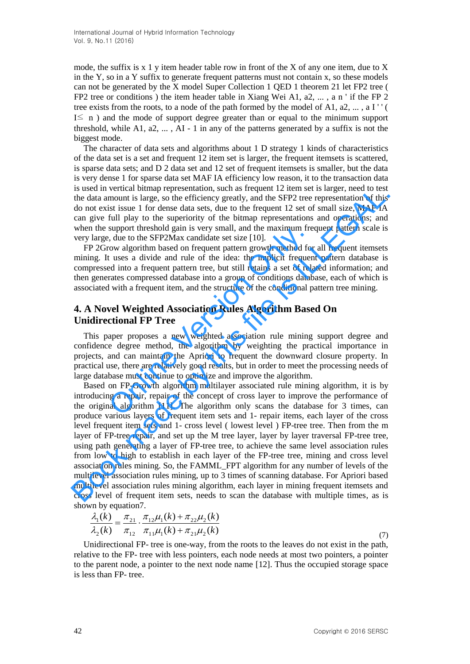mode, the suffix is  $x \in Y$  item header table row in front of the X of any one item, due to X in the Y, so in a Y suffix to generate frequent patterns must not contain  $x$ , so these models can not be generated by the X model Super Collection 1 QED 1 theorem 21 let FP2 tree ( FP2 tree or conditions ) the item header table in Xiang Wei A1, a2, ... , a n ' if the FP 2 tree exists from the roots, to a node of the path formed by the model of A1,  $a2, \ldots, a1$ '' I≤ n ) and the mode of support degree greater than or equal to the minimum support threshold, while A1,  $a2, \ldots$ , AI - 1 in any of the patterns generated by a suffix is not the biggest mode.

The character of data sets and algorithms about 1 D strategy 1 kinds of characteristics of the data set is a set and frequent 12 item set is larger, the frequent itemsets is scattered, is sparse data sets; and D 2 data set and 12 set of frequent itemsets is smaller, but the data is very dense 1 for sparse data set MAF IA efficiency low reason, it to the transaction data is used in vertical bitmap representation, such as frequent 12 item set is larger, need to test the data amount is large, so the efficiency greatly, and the SFP2 tree representation of this do not exist issue 1 for dense data sets, due to the frequent 12 set of small size, MAF IA can give full play to the superiority of the bitmap representations and operations; and when the support threshold gain is very small, and the maximum frequent pattern scale is very large, due to the SFP2Max candidate set size [10].

FP 2Grow algorithm based on frequent pattern growth method for all frequent itemsets mining. It uses a divide and rule of the idea: the implicit frequent pattern database is compressed into a frequent pattern tree, but still retains a set of related information; and then generates compressed database into a group of conditions database, each of which is associated with a frequent item, and the structure of the conditional pattern tree mining. support inteshold gain is very small, and the maximum free, due to the SFP2Max candidate set size [10].<br>
On algorithm based on frequent pattern growth method for tuses a divide and rule of the idea: the implicit frequent<br>

# **4. A Novel Weighted Association Rules Algorithm Based On Unidirectional FP Tree**

This paper proposes a new weighted association rule mining support degree and confidence degree method, the algorithm by weighting the practical importance in projects, and can maintain the Apriori to frequent the downward closure property. In practical use, there are relatively good results, but in order to meet the processing needs of large database must continue to optimize and improve the algorithm.

Based on FP-Growth algorithm multilayer associated rule mining algorithm, it is by introducing a repair, repair of the concept of cross layer to improve the performance of the original algorithm [11]. The algorithm only scans the database for 3 times, can produce various layers of frequent item sets and 1- repair items, each layer of the cross level frequent item sets and 1- cross level ( lowest level ) FP-tree tree. Then from the m layer of FP-tree repair, and set up the M tree layer, layer by layer traversal FP-tree tree, using path generating a layer of FP-tree tree, to achieve the same level association rules from low to high to establish in each layer of the FP-tree tree, mining and cross level association rules mining. So, the FAMML\_FPT algorithm for any number of levels of the multilevel association rules mining, up to 3 times of scanning database. For Apriori based multilevel association rules mining algorithm, each layer in mining frequent itemsets and cross level of frequent item sets, needs to scan the database with multiple times, as is shown by equation7. is used in vertical buman perpesantation, such as frequent 12 ritem set is large, not to best different and is the data amount is large, so the efficiency greatly, and the SFP2 tree representation of this do not exist issu

$$
\frac{\lambda_1(k)}{\lambda_2(k)} = \frac{\pi_{21}}{\pi_{12}} \cdot \frac{\pi_{12}\mu_1(k) + \pi_{22}\mu_2(k)}{\pi_{11}\mu_1(k) + \pi_{21}\mu_2(k)}\tag{7}
$$

Unidirectional FP- tree is one-way, from the roots to the leaves do not exist in the path, relative to the FP- tree with less pointers, each node needs at most two pointers, a pointer to the parent node, a pointer to the next node name [12]. Thus the occupied storage space is less than FP- tree.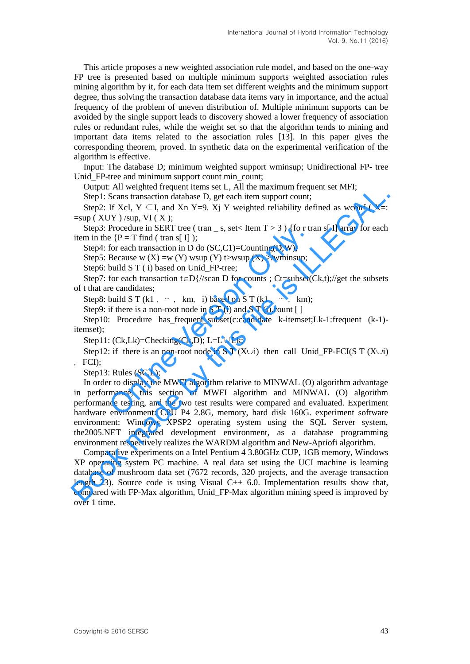This article proposes a new weighted association rule model, and based on the one-way FP tree is presented based on multiple minimum supports weighted association rules mining algorithm by it, for each data item set different weights and the minimum support degree, thus solving the transaction database data items vary in importance, and the actual frequency of the problem of uneven distribution of. Multiple minimum supports can be avoided by the single support leads to discovery showed a lower frequency of association rules or redundant rules, while the weight set so that the algorithm tends to mining and important data items related to the association rules [13]. In this paper gives the corresponding theorem, proved. In synthetic data on the experimental verification of the algorithm is effective.

Input: The database D; minimum weighted support wminsup; Unidirectional FP- tree Unid FP-tree and minimum support count min\_count;

Output: All weighted frequent items set L, All the maximum frequent set MFI;

Step1: Scans transaction database D, get each item support count;

Step2: If XcI,  $Y \in I$ , and Xn Y=9. Xj Y weighted reliability defined as wconf (X=:  $=$ sup (XUY)/sup, VI (X);

Step3: Procedure in SERT tree (tran \_ s, set < Item  $T > 3$ ) {fo r tran s[ I] array for each item in the  ${P = T}$  find ( tran s[ I] );

Step4: for each transaction in D do (SC,C1)=Counting(D,W);

Step5: Because w  $(X) = w(Y)$  wsup  $(Y)$  t>wsup  $(X)$  >/wminsup;

Step6: build S T ( i) based on Unid\_FP-tree;

Step7: for each transaction  $t \in D\frac{1}{s}$  for counts ; Ct=subset(Ck,t);//get the subsets of t that are candidates;

Step8: build S T (k1, …, km, i) based on S T (k1, …, km);

Step9: if there is a non-root node in  $S T$  (i) and  $S T$  (i).count [ ]

Step10: Procedure has\_frequent\_subset(c:candidate k-itemset;Lk-1:frequent (k-1) itemset);

Step11:  $(Ck,Lk)$ =Checking $(Ck,D)$ ; L=L∪Lk;

Step12: if there is an non-root node in S T (X $\cup$ i) then call Unid FP-FCI(S T (X $\cup$ i) ,FCI);

Step13: Rules (SC,L);

In order to display the MWFI algorithm relative to MINWAL (O) algorithm advantage in performance, this section of MWFI algorithm and MINWAL (O) algorithm performance testing, and the two test results were compared and evaluated. Experiment hardware environment: CPU P4 2.8G, memory, hard disk 160G. experiment software environment: Windows XPSP2 operating system using the SQL Server system, the2005.NET integrated development environment, as a database programming environment respectively realizes the WARDM algorithm and New-Apriofi algorithm. Procedure in SERT tree (tran \_ s, set< Item 1 > 5 ) {10 f tr<br>
e {P = T find (tran s[ I]);<br>
for each transaction in D do (SC,C1)=Counting(D,W);<br>
Because w (X) = w (Y) wsup (Y) t>wup (X) >/wminsup;<br>
build S T (i) absed on U Step!: An weighted Tequent nets set, A, an the maximum inequent set wirt,<br>step!: Scans transaction database D, get each item support count;<br>Step2: IF XeI, Y  $\in \mathbb{R}$ , Than X m Y=9. Xj Y weighted reliability defined as w

Comparative experiments on a Intel Pentium 4 3.80GHz CUP, 1GB memory, Windows XP operating system PC machine. A real data set using the UCI machine is learning database of mushroom data set (7672 records, 320 projects, and the average transaction length 23). Source code is using Visual C++ 6.0. Implementation results show that, compared with FP-Max algorithm, Unid\_FP-Max algorithm mining speed is improved by over 1 time.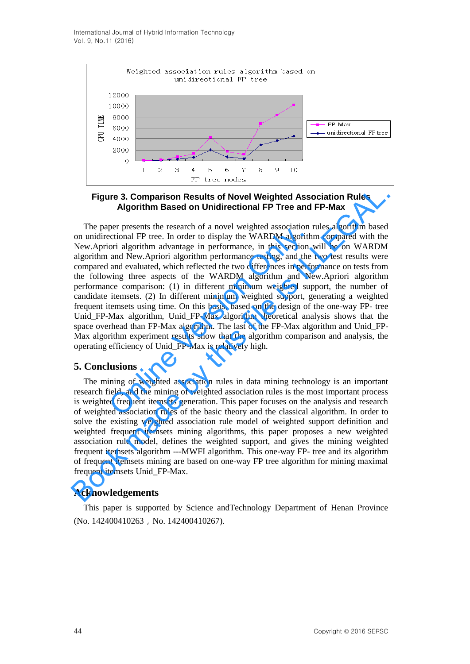International Journal of Hybrid Information Technology Vol. 9, No.11 (2016)



**Figure 3. Comparison Results of Novel Weighted Association Rules Algorithm Based on Unidirectional FP Tree and FP-Max**

The paper presents the research of a novel weighted association rules algorithm based on unidirectional FP tree. In order to display the WARDM algorithm compared with the New.Apriori algorithm advantage in performance, in this section will be on WARDM algorithm and New.Apriori algorithm performance testing, and the two test results were compared and evaluated, which reflected the two differences in performance on tests from the following three aspects of the WARDM algorithm and New.Apriori algorithm performance comparison: (1) in different minimum weighted support, the number of candidate itemsets. (2) In different minimum weighted support, generating a weighted frequent itemsets using time. On this basis, based on the design of the one-way FP- tree Unid FP-Max algorithm, Unid FP-Max algorithm theoretical analysis shows that the space overhead than FP-Max algorithm. The last of the FP-Max algorithm and Unid\_FP-Max algorithm experiment results show that the algorithm comparison and analysis, the operating efficiency of Unid\_FP-Max is relatively high. per presens in tessearch of a novel weighted association in<br>eccitonal FP tree. In order to display the WARDM algorith<br>ori algorithm advantage in performance, in this section<br>and New.Apriori algorithm performance testing, a **Figure 3. Comparison Results of Novel Weighted Association Rules**<br> **Algorithm Based on Unidirectional FP Tree and FP-Max**<br>
The paper presents the research of a novel weighted association rules algorithm based<br>
on unidire

### **5. Conclusions**

The mining of weighted association rules in data mining technology is an important research field, and the mining of weighted association rules is the most important process is weighted frequent itemsets generation. This paper focuses on the analysis and research of weighted association rules of the basic theory and the classical algorithm. In order to solve the existing weighted association rule model of weighted support definition and weighted frequent itemsets mining algorithms, this paper proposes a new weighted association rule model, defines the weighted support, and gives the mining weighted frequent itemsets algorithm ---MWFI algorithm. This one-way FP- tree and its algorithm of frequent itemsets mining are based on one-way FP tree algorithm for mining maximal frequent itemsets Unid\_FP-Max.

### **Acknowledgements**

This paper is supported by Science andTechnology Department of Henan Province (No. 142400410263, No. 142400410267).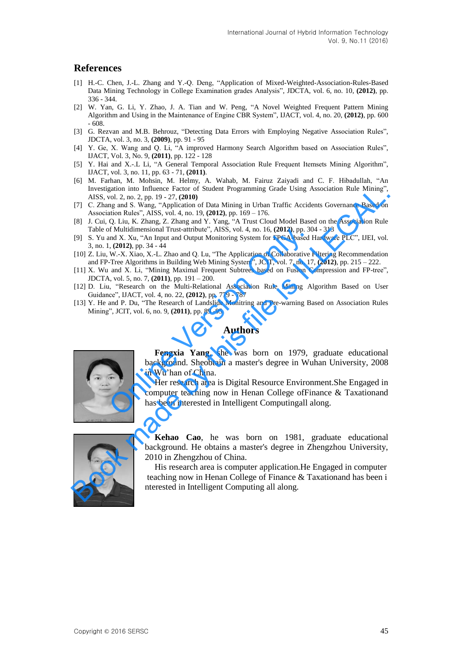# **References**

- [1] H.-C. Chen, J.-L. Zhang and Y.-Q. Deng, "Application of Mixed-Weighted-Association-Rules-Based Data Mining Technology in College Examination grades Analysis", JDCTA, vol. 6, no. 10, **(2012)**, pp. 336 - 344.
- [2] W. Yan, G. Li, Y. Zhao, J. A. Tian and W. Peng, "A Novel Weighted Frequent Pattern Mining Algorithm and Using in the Maintenance of Engine CBR System", IJACT, vol. 4, no. 20, **(2012)**, pp. 600 - 608.
- [3] G. Rezvan and M.B. Behrouz, "Detecting Data Errors with Employing Negative Association Rules", JDCTA, vol. 3, no. 3, **(2009)**, pp. 91 - 95
- [4] Y. Ge, X. Wang and Q. Li, "A improved Harmony Search Algorithm based on Association Rules", IJACT, Vol. 3, No. 9, **(2011)**, pp. 122 - 128
- [5] Y. Hai and X.-.L Li, "A General Temporal Association Rule Frequent Itemsets Mining Algorithm", IJACT, vol. 3, no. 11, pp. 63 - 71, **(2011)**.
- [6] M. Farhan, M. Mohsin, M. Helmy, A. Wahab, M. Fairuz Zaiyadi and C. F. Hibadullah, "An Investigation into Influence Factor of Student Programming Grade Using Association Rule Mining", AISS, vol. 2, no. 2, pp. 19 - 27, **(2010)**
- [7] C. Zhang and S. Wang, "Application of Data Mining in Urban Traffic Accidents Governance Based on Association Rules", AISS, vol. 4, no. 19, **(2012)**, pp. 169 – 176.
- [8] J. Cui, Q. Liu, K. Zhang, Z. Zhang and Y. Yang, "A Trust Cloud Model Based on the Association Rule Table of Multidimensional Trust-attribute", AISS, vol. 4, no. 16, **(2012)**, pp. 304 - 313
- [9] S. Yu and X. Xu, "An Input and Output Monitoring System for FPGA-based Hardware PLC", IJEI, vol. 3, no. 1, **(2012)**, pp. 34 - 44
- [10] Z. Liu, W.-X. Xiao, X.-L. Zhao and Q. Lu, "The Application of Collaborative Filtering Recommendation and FP-Tree Algorithms in Building Web Mining System", JCIT, vol. 7, no. 17, **(2012)**, pp. 215 – 222.
- [11] X. Wu and X. Li, "Mining Maximal Frequent Subtrees based on Fusion Compression and FP-tree", JDCTA, vol. 5, no. 7, **(2011)**, pp. 191 – 200.
- [12] D. Liu, "Research on the Multi-Relational Association Rule Mining Algorithm Based on User Guidance", IJACT, vol. 4, no. 22, **(2012)**, pp. 779 - 787
- [13] Y. He and P. Du, "The Research of Landslide Monitring and Pre-warning Based on Association Rules Mining", JCIT, vol. 6, no. 9, **(2011)**, pp. 89 -95

### **Authors**



**Fengxia Yang**, she was born on 1979, graduate educational background. Sheobtain a master's degree in Wuhan University, 2008 in Wu'han of China.

Her research area is Digital Resource Environment.She Engaged in computer teaching now in Henan College ofFinance & Taxationand has been interested in Intelligent Computingall along. It also see the Multidimensional Trust-attribute", AISS, vol. 4, no. 16, (2012), pp. 30<br>
(a) (2012), pp. 34 - 44<br>
(a) (2012), pp. 34 - 44<br>
W.-X. Xiao, X.-L. Zhao and Q. Lu, "The Application of Collaborative U-Tree Algorith Investigation into Indicate Clack Minima Criter of Student Programming Grade Using Association Rdie Minima (17) C. Ziang and S. Wang, "Application of Data Minima in Urban Traffic Accidens Governance Based on Association Ru



**Kehao Cao**, he was born on 1981, graduate educational background. He obtains a master's degree in Zhengzhou University, 2010 in Zhengzhou of China.

His research area is computer application.He Engaged in computer teaching now in Henan College of Finance & Taxationand has been i nterested in Intelligent Computing all along.